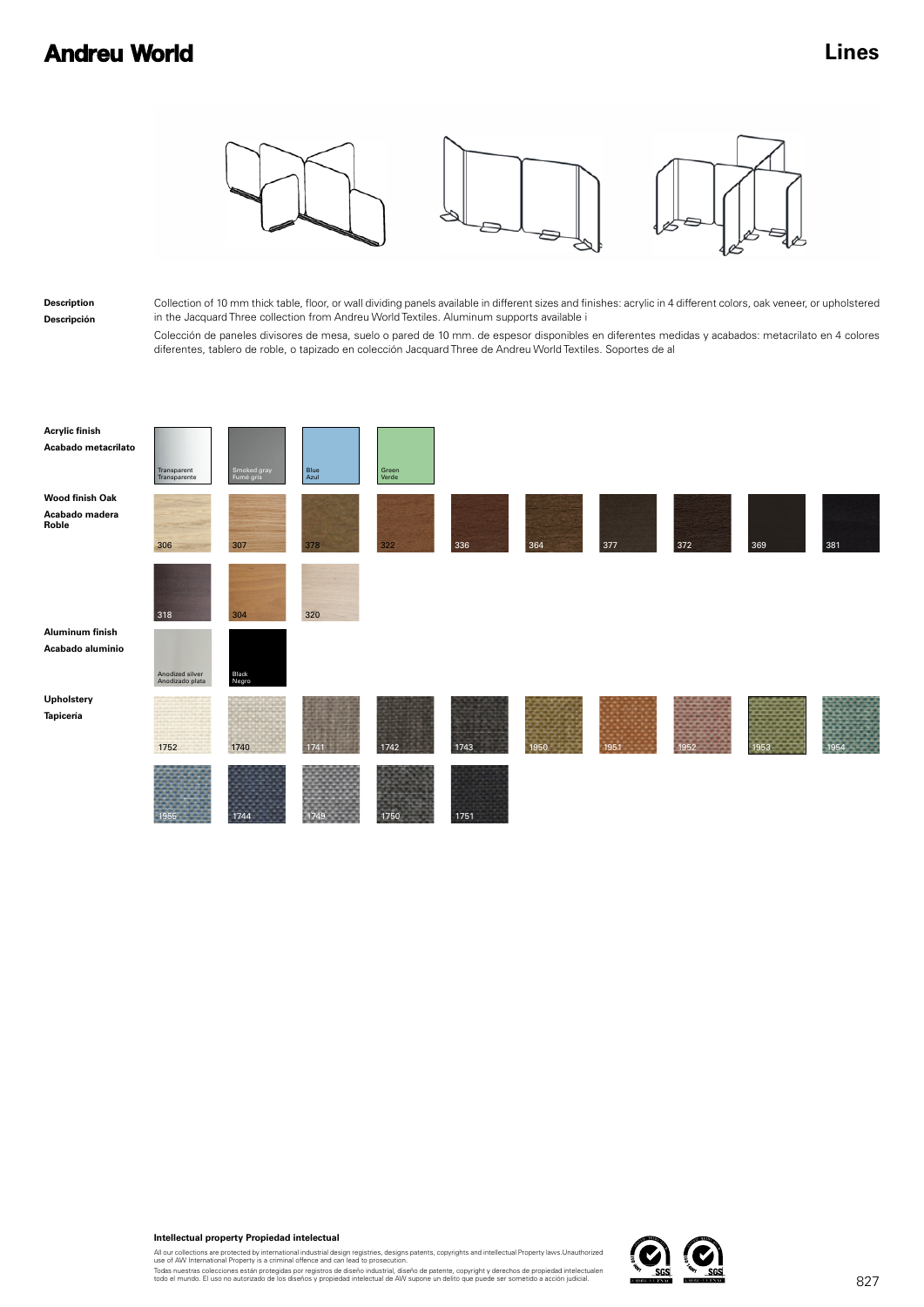### **Lines**



#### **Description Descripción**

Collection of 10 mm thick table, floor, or wall dividing panels available in different sizes and finishes: acrylic in 4 different colors, oak veneer, or upholstered in the Jacquard Three collection from Andreu World Textiles. Aluminum supports available i

Colección de paneles divisores de mesa, suelo o pared de 10 mm. de espesor disponibles en diferentes medidas y acabados: metacrilato en 4 colores diferentes, tablero de roble, o tapizado en colección Jacquard Three de Andreu World Textiles. Soportes de al

| <b>Acrylic finish</b><br>Acabado metacrilato      | Transparent<br>Transparente        | Smoked gray<br>Fumé gris | Blue<br>Azul | Green<br>Verde |      |      |      |      |     |      |
|---------------------------------------------------|------------------------------------|--------------------------|--------------|----------------|------|------|------|------|-----|------|
| <b>Wood finish Oak</b><br>Acabado madera<br>Roble | 306                                | 307                      | 378          | 322            | 336  | 364  | 377  | 372  | 369 | 381  |
|                                                   | 318                                | 304                      | 320          |                |      |      |      |      |     |      |
| <b>Aluminum finish</b><br>Acabado aluminio        | Anodized silver<br>Anodizado plata | Black<br>Negro           |              |                |      |      |      |      |     |      |
| Upholstery<br>Tapicería                           | 1752                               | 1740                     | 1741         | 1742           | 1743 | 1950 | 1951 | 1952 |     | 195. |
|                                                   | 1955                               | 1744                     | 1749         | 1750           | 1751 |      |      |      |     |      |

#### **Intellectual property Propiedad intelectual**

All our collections are protected by international industrial design registries, designs patents, copyrights and intellectual Property laws.Unauthorized<br>use of AW International Property is a criminal offence and can lead t

Todas nuestras colecciones están protegidas por registros de diseño industrial, diseño de patente, copyright y derechos de propiedad intelectualen<br>todo el mundo. El uso no autorizado de los diseños y propiedad intelectual

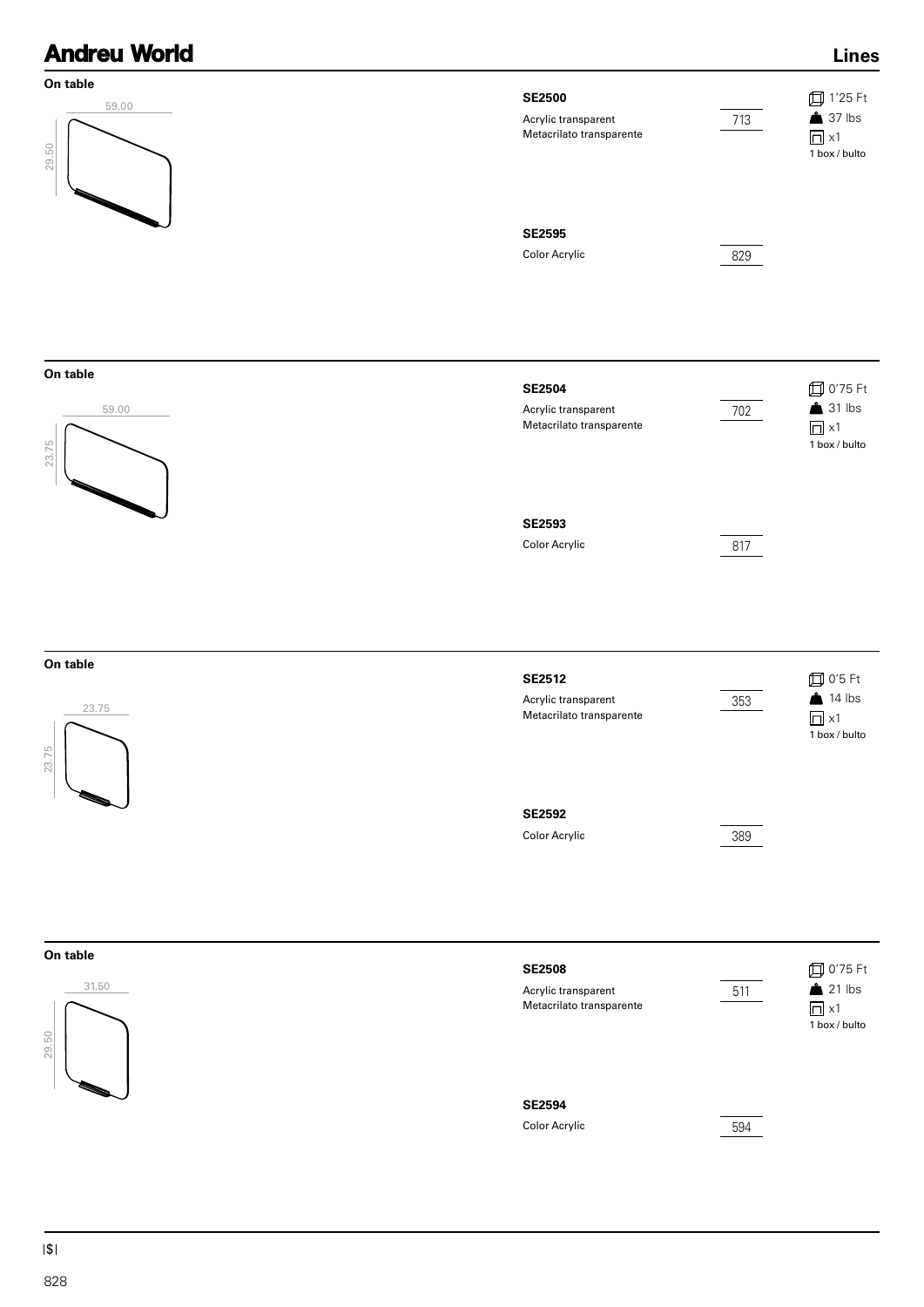

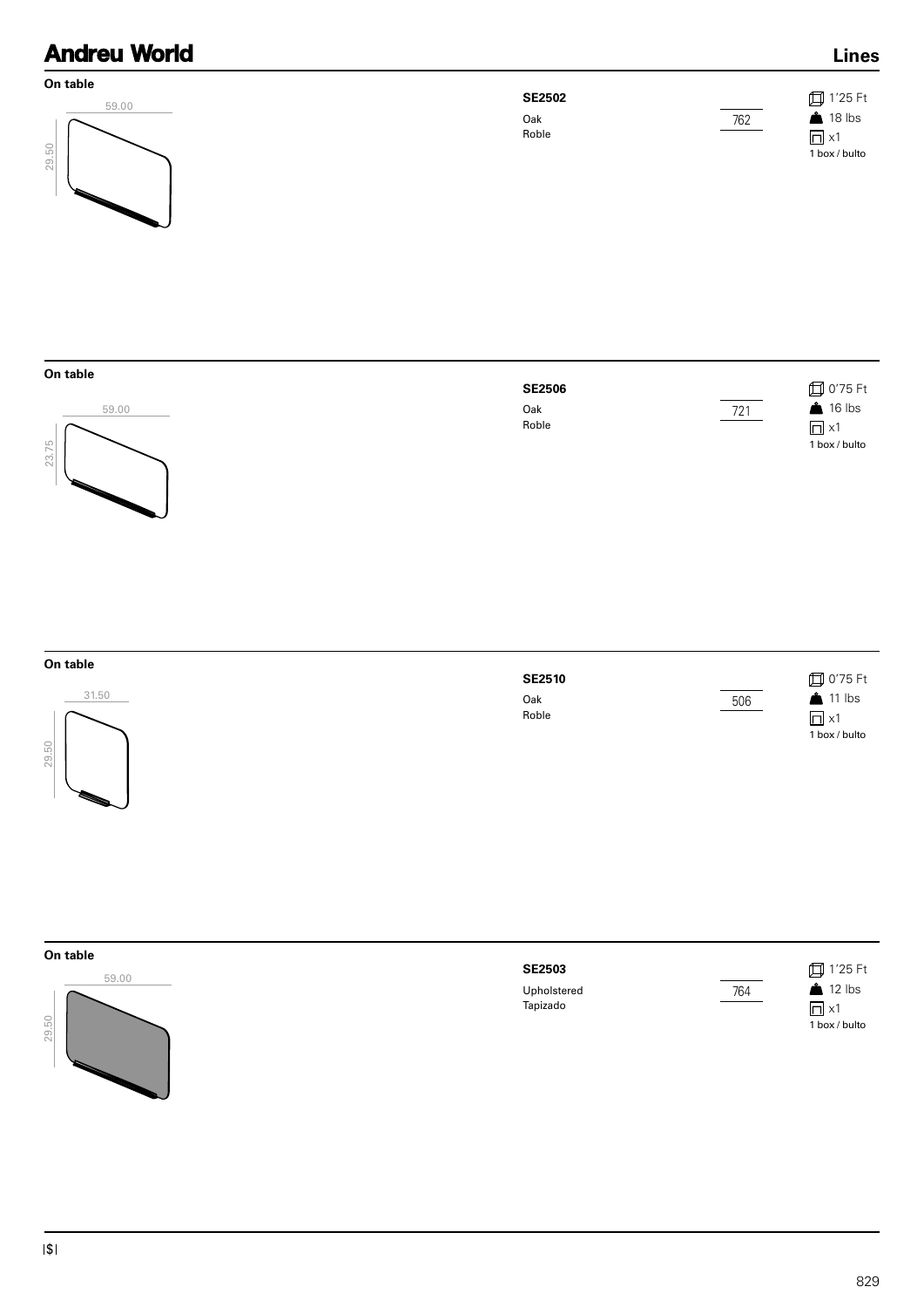







**Lines**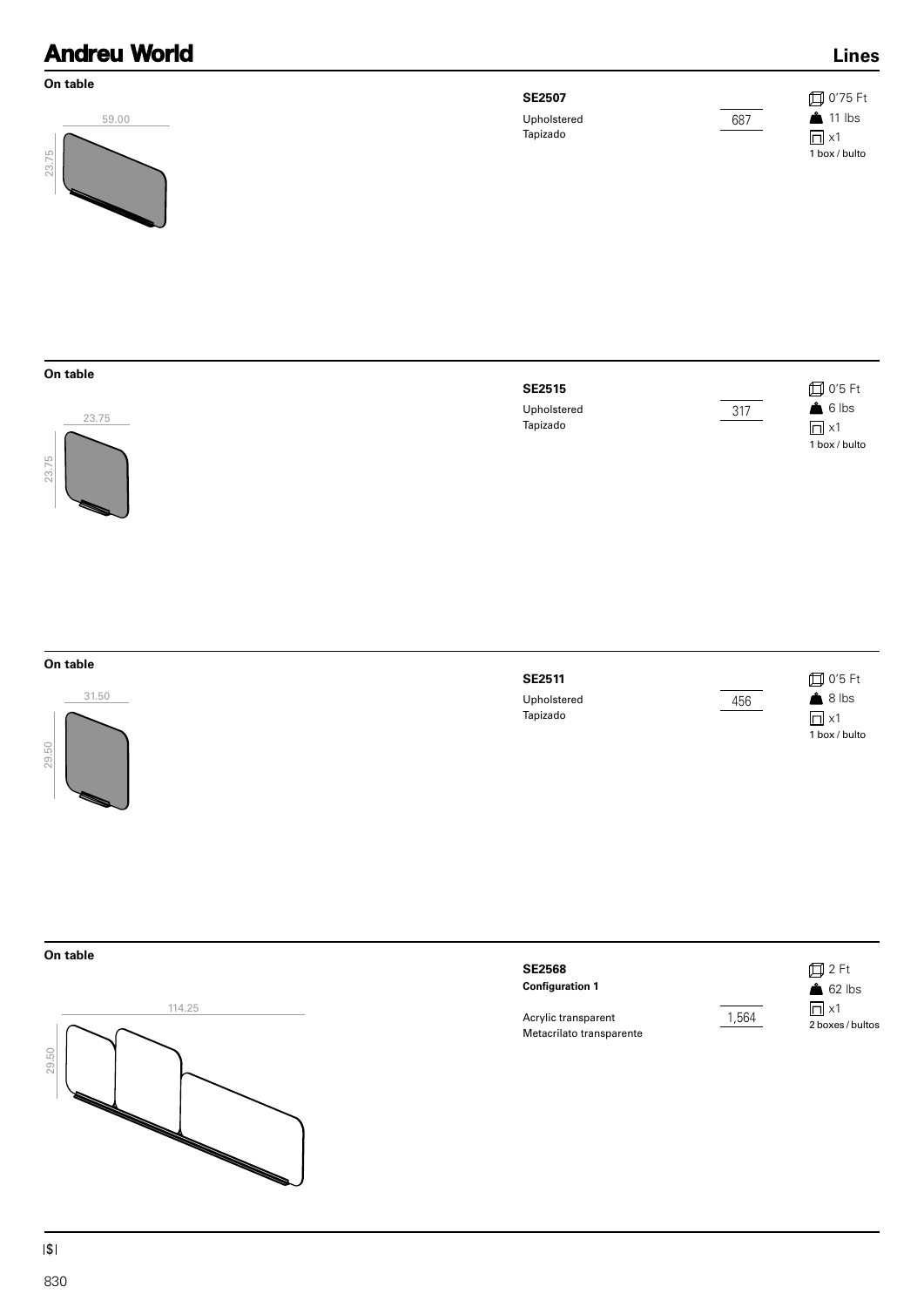| <b>Andreu World</b>        |                                          |     | <b>Lines</b>                                                         |
|----------------------------|------------------------------------------|-----|----------------------------------------------------------------------|
| On table<br>59.00<br>23.75 | <b>SE2507</b><br>Upholstered<br>Tapizado | 687 | <b>□ 0'75 Ft</b><br>$\triangle$ 11 lbs<br>$\Box$ x1<br>1 box / bulto |
| On table<br>23.75<br>23.75 | <b>SE2515</b><br>Upholstered<br>Tapizado | 317 | <b>□ 0'5 Ft</b><br>$6$ lbs<br>$\Box$ x1<br>1 box / bulto             |
| On table<br>31.50<br>29.50 | <b>SE2511</b><br>Upholstered<br>Tapizado | 456 | <b>□ 0'5 Ft</b><br>$8$ lbs<br>$\Box$ x1<br>1 box / bulto             |

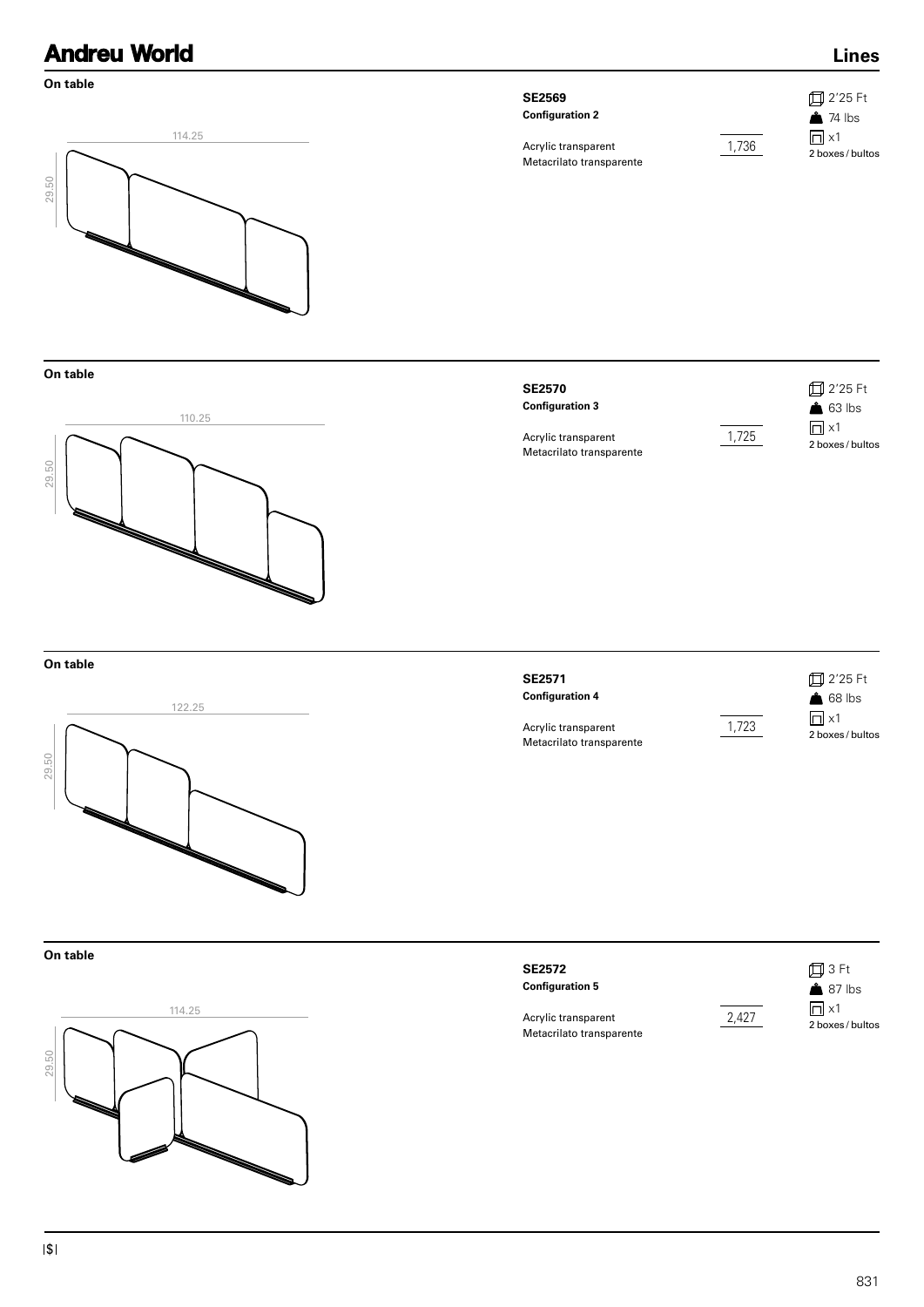### **On table**



### **SE2569 Configuration 2**



2'25 Ft  $24$  lbs  $\Box$  x1

**Lines**

Acrylic transparent Metacrilato transparente

1,736

2 boxes / bultos

**On table**



| <b>SE2570</b>          |  |
|------------------------|--|
| <b>Configuration 3</b> |  |

1,725

2'25 Ft  $63$  lbs  $\Box$  x1 2 boxes / bultos

Acrylic transparent Metacrilato transparente

**On table**



**SE2571 Configuration 4**  Acrylic transparent

Metacrilato transparente

1,723

2'25 Ft **68** lbs  $\Box$  x1 2 boxes / bultos

**On table**



| <b>SE2572</b><br><b>Configuration 5</b>         |       | 口3 Ft<br>$\triangle$ 87 lbs           |
|-------------------------------------------------|-------|---------------------------------------|
| Acrylic transparent<br>Metacrilato transparente | 2.427 | $\Box$ $\times$ 1<br>2 boxes / bultos |

\$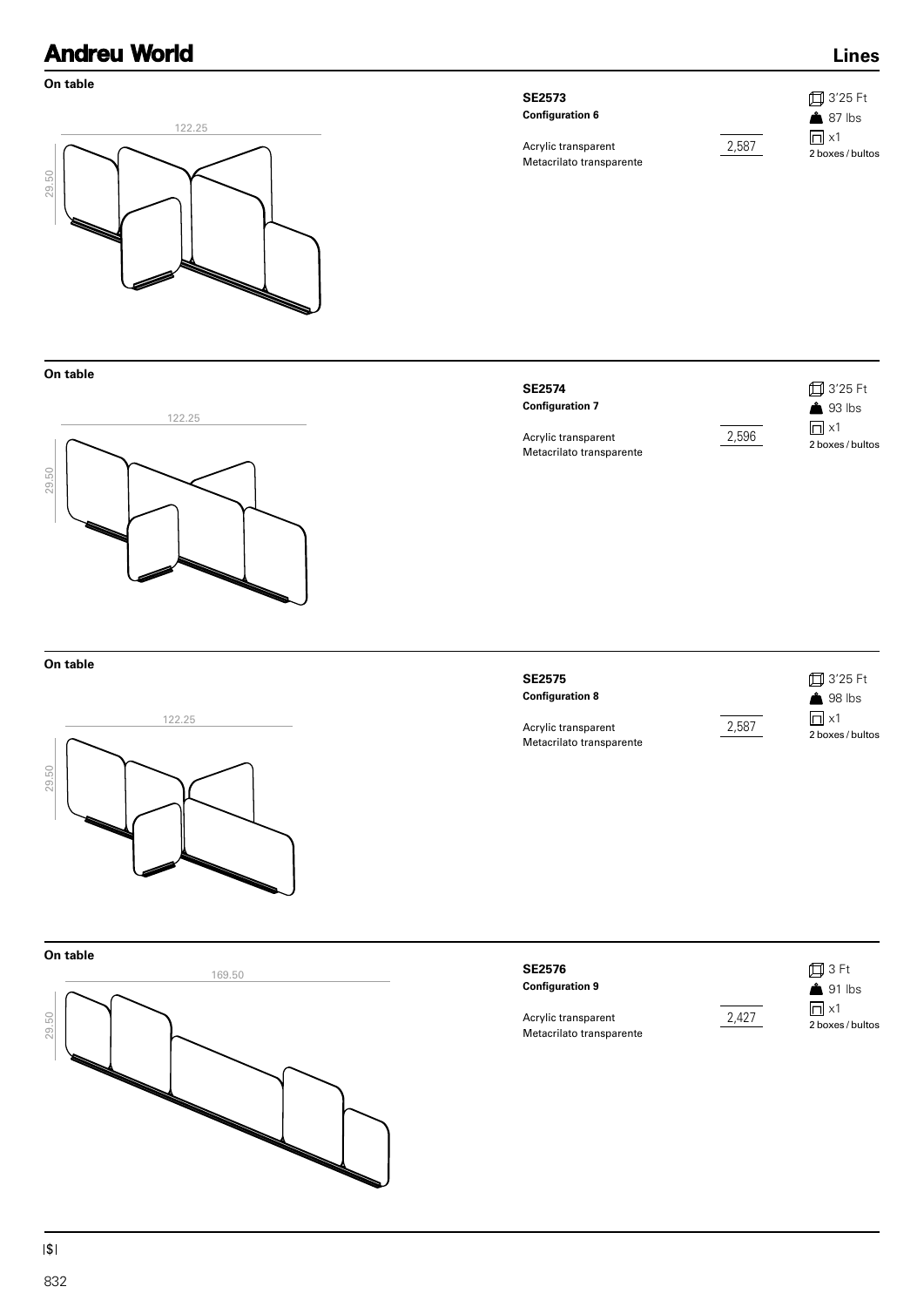### **On table**



#### **SE2573 Configuration 6**



3'25 Ft **87** lbs  $\Box$  x1

Metacrilato transparente

Acrylic transparent

2,587

2 boxes / bultos

**Lines**

**On table**

**On table**

29.50



122.25

### **Configuration 7**  Acrylic transparent Metacrilato transparente

**SE2574**

2,596

3'25 Ft **4** 93 lbs  $\Box$  x1 2 boxes / bultos

**SE2575**

**Configuration 8** 

Acrylic transparent Metacrilato transparente 2,587

3'25 Ft **4** 98 lbs  $\Box$  x1 2 boxes / bultos



\$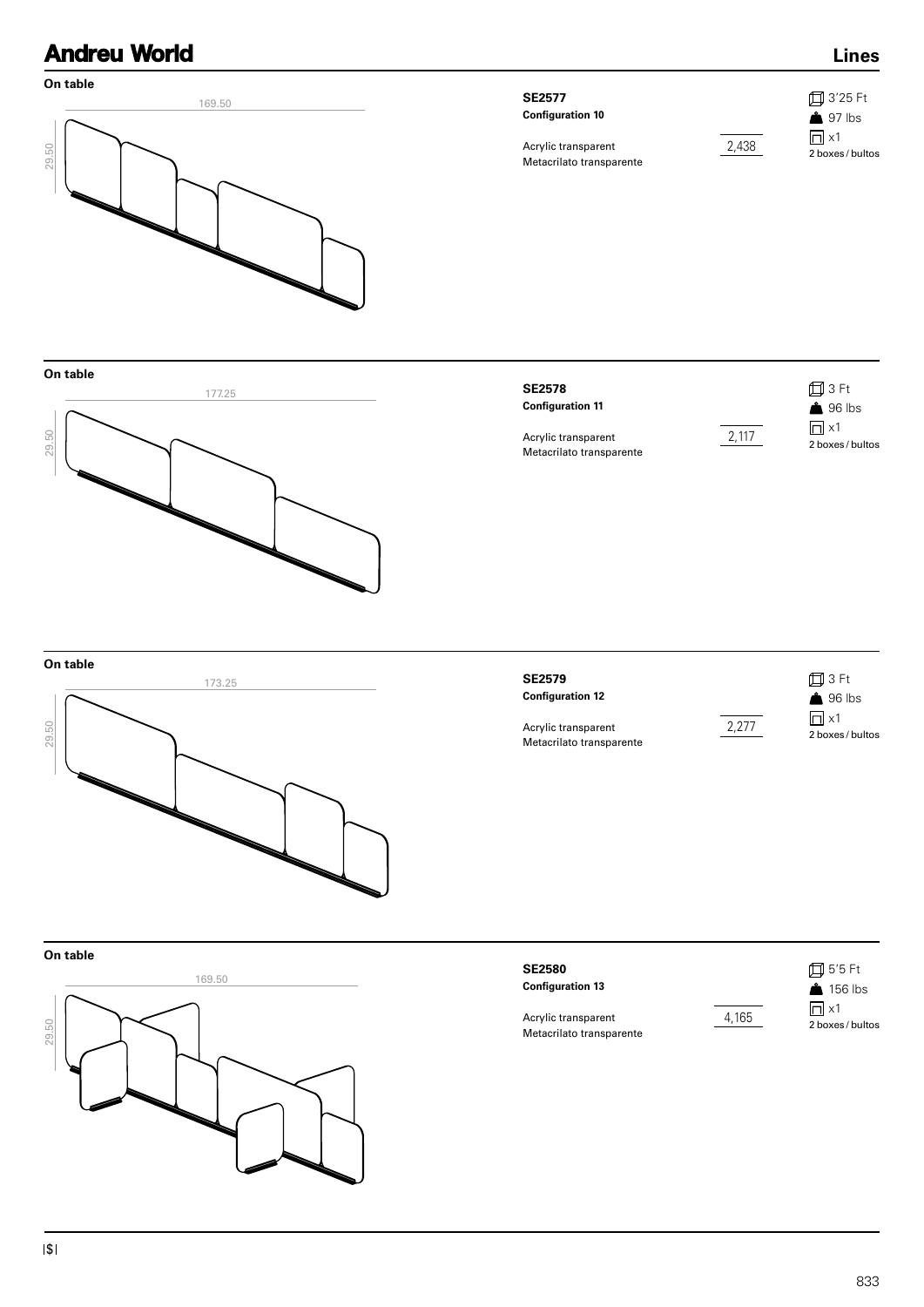

**On table**



| <b>SE2578</b>            |  |
|--------------------------|--|
| <b>Configuration 11</b>  |  |
|                          |  |
| Acrylic transparent      |  |
| Metacrilato transparente |  |
|                          |  |
|                          |  |



3 Ft **4** 96 lbs  $\Box$  x1 2 boxes / bultos

**Lines**



| <b>SE2579</b><br><b>Configuration 12</b>        |  |
|-------------------------------------------------|--|
| Acrylic transparent<br>Metacrilato transparente |  |

2,277

3 Ft **4** 96 lbs  $\Box$  x1 2 boxes / bultos

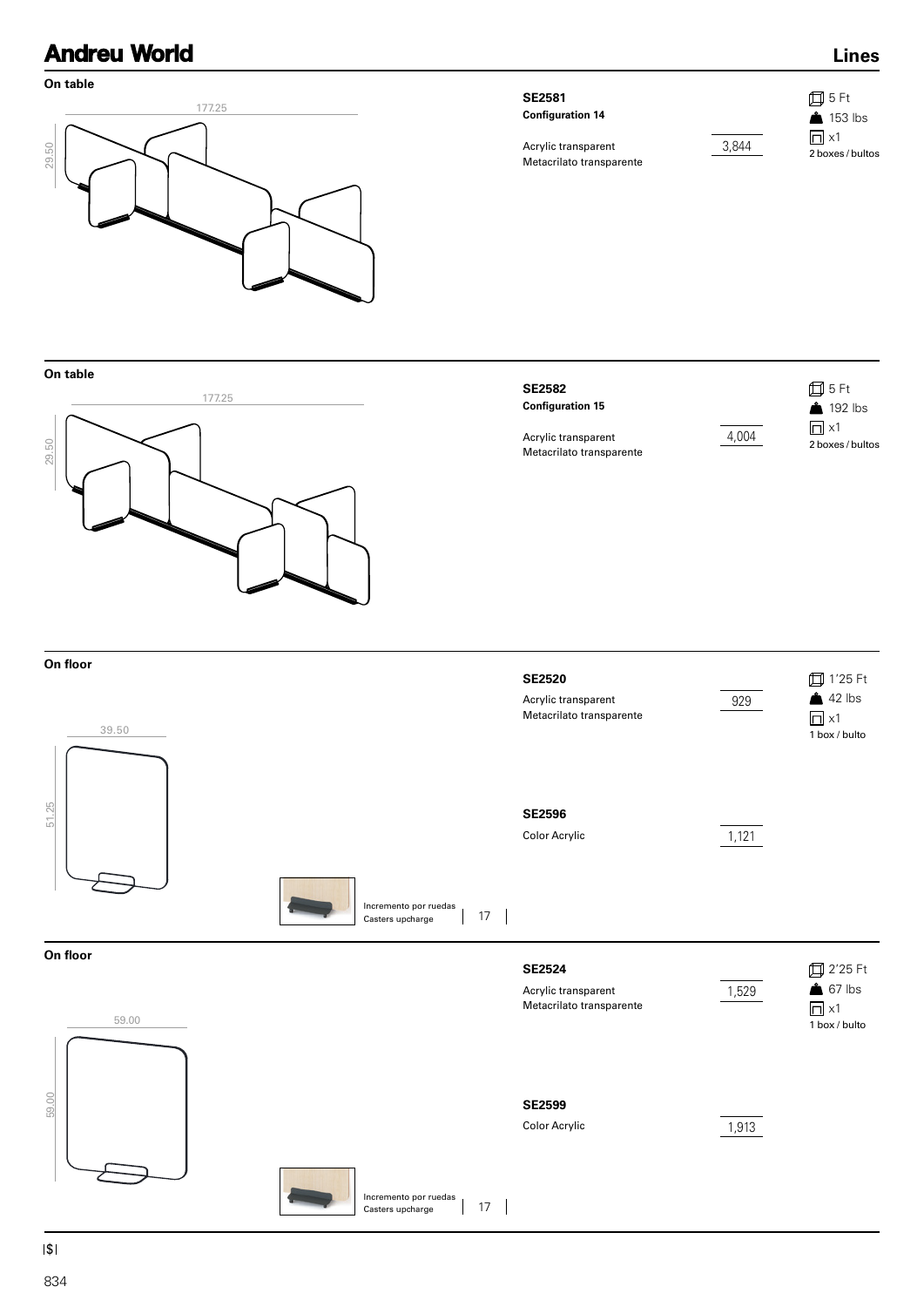

**On floor**



Incremento por ruedas Casters upcharge 17 17

\$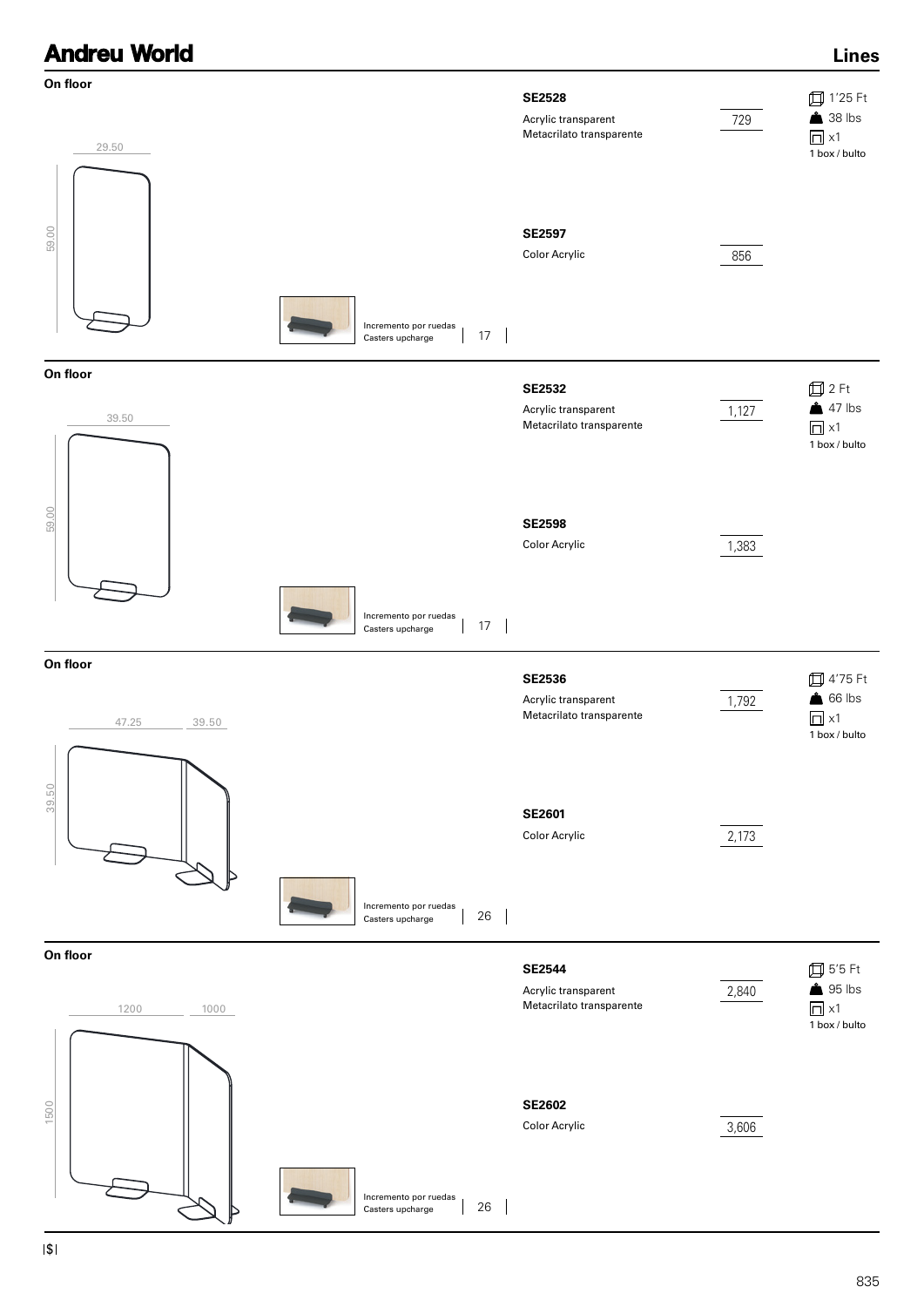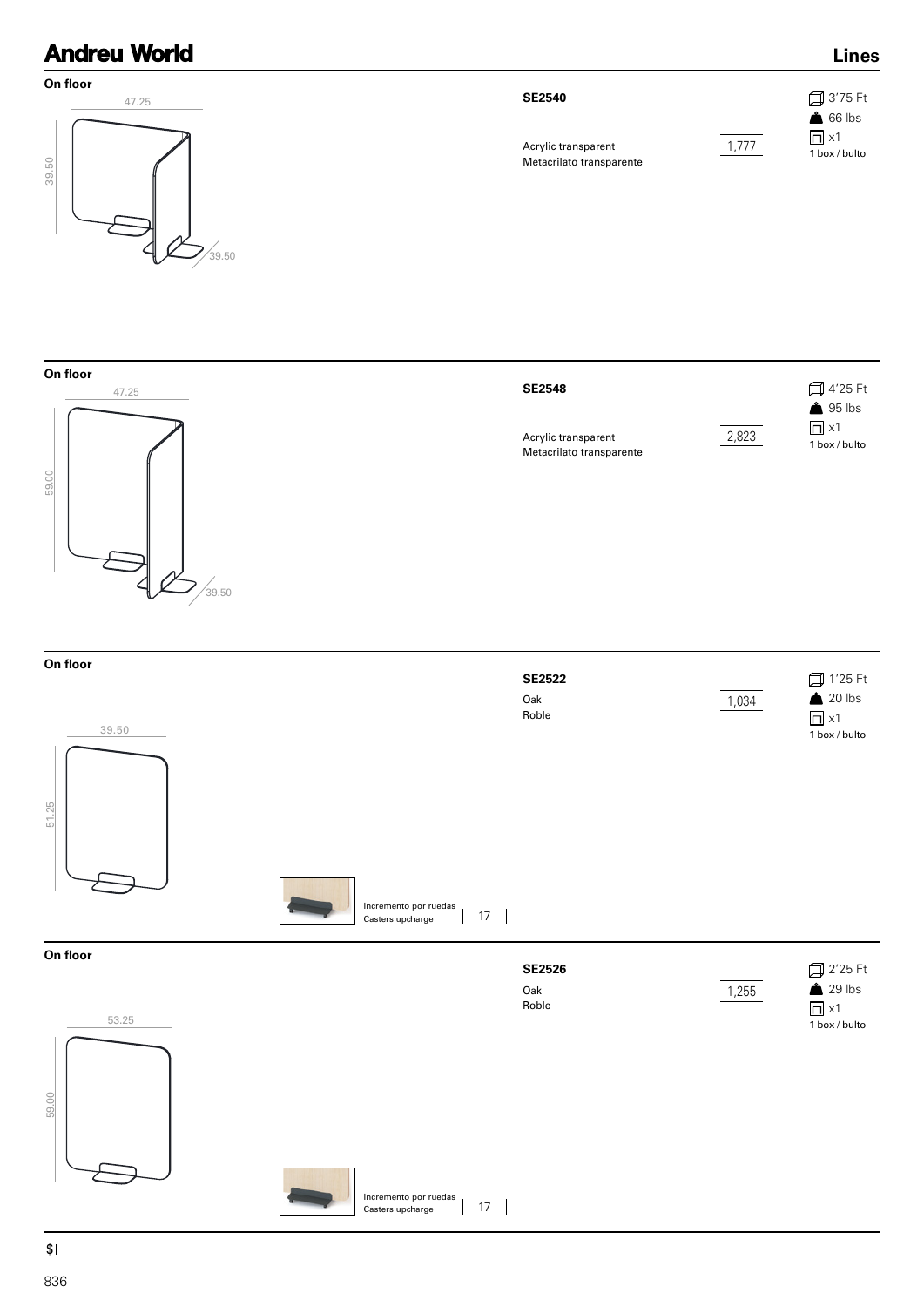### **On floor SE2540** 39.50 47.25  $\sum_{39.50}$ Acrylic transparent Metacrilato transparente 1,777 3'75 Ft **66** lbs  $\Box$  x1 1 box / bulto

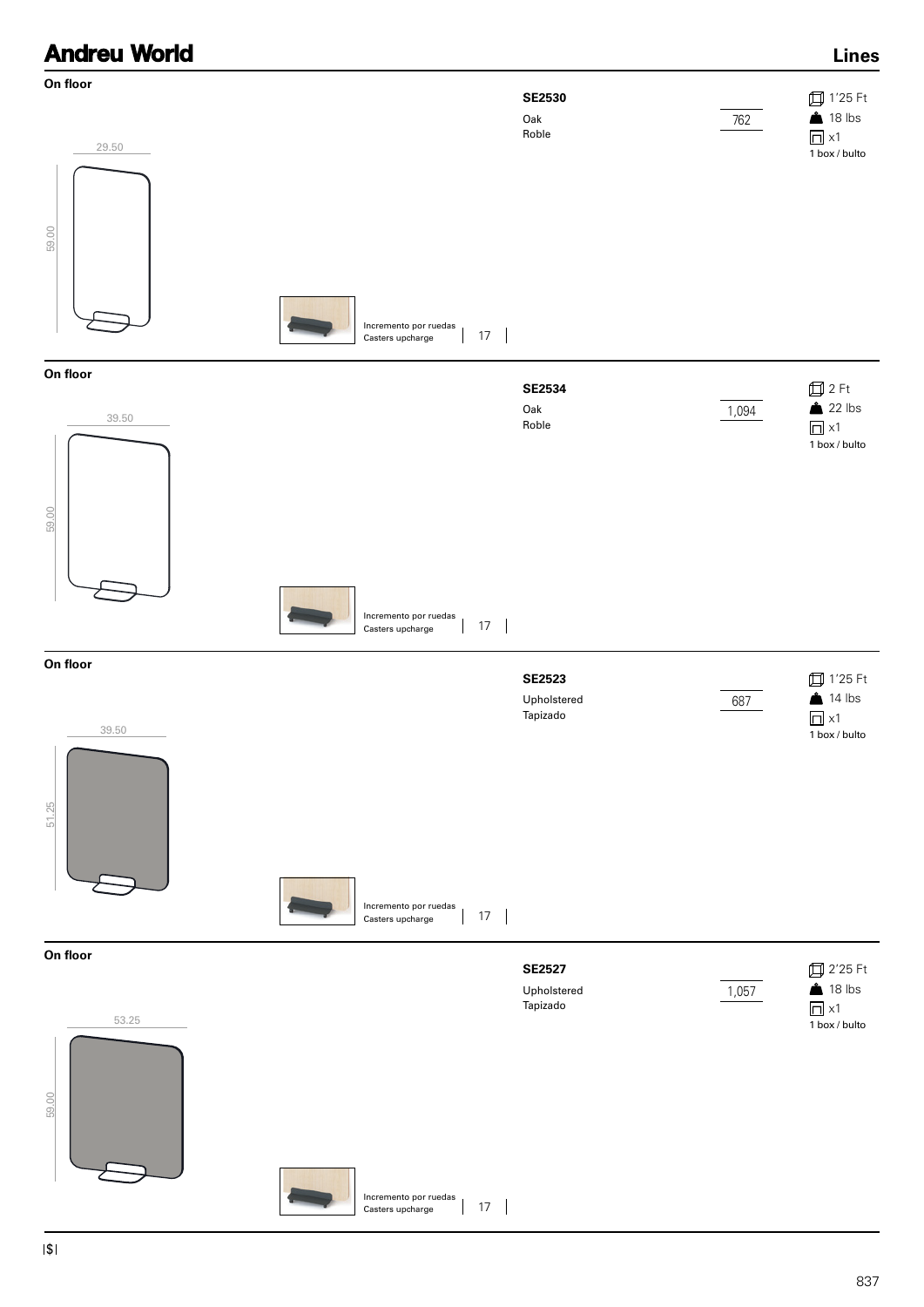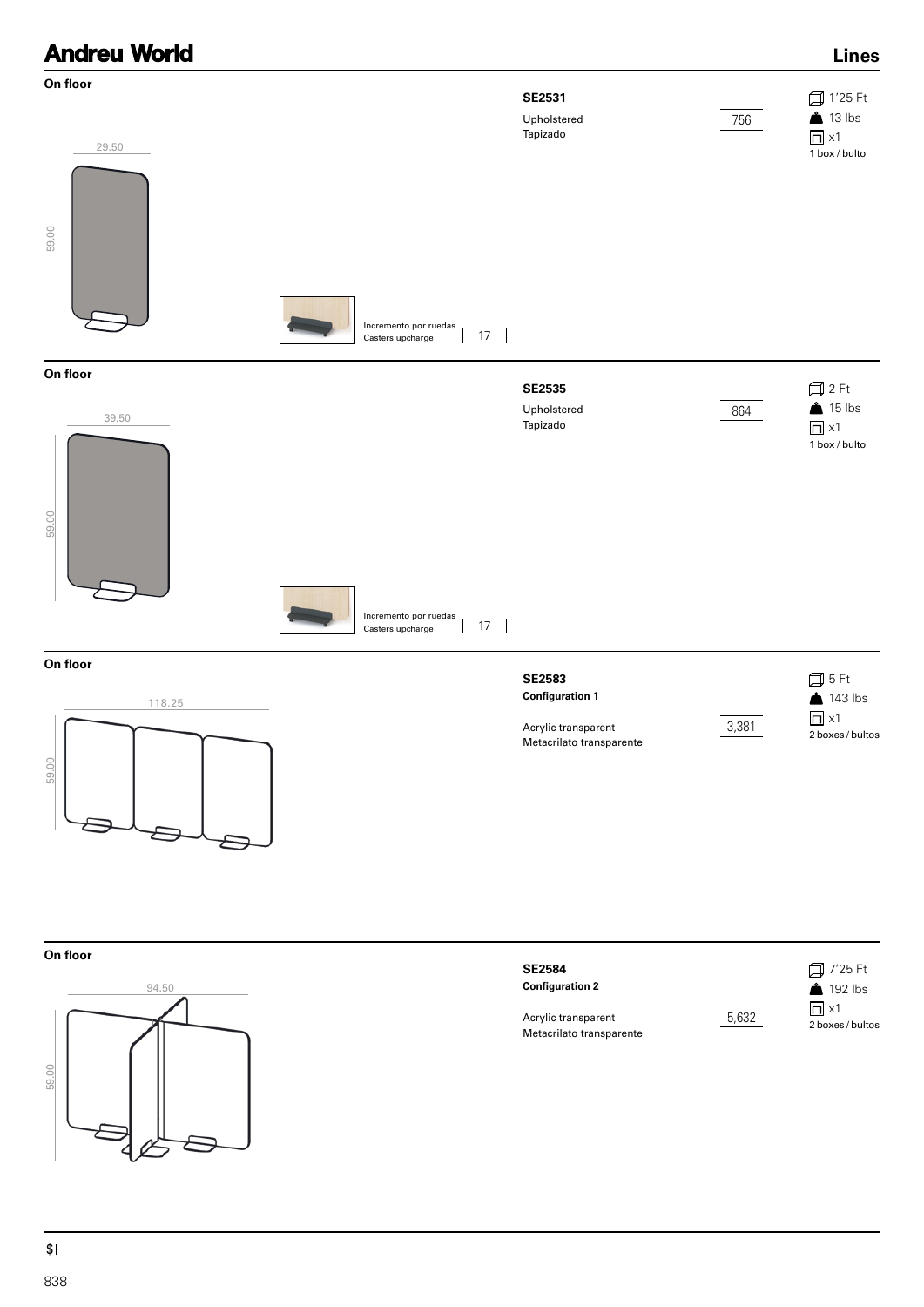



**192** lbs  $\Box$  x1 2 boxes / bultos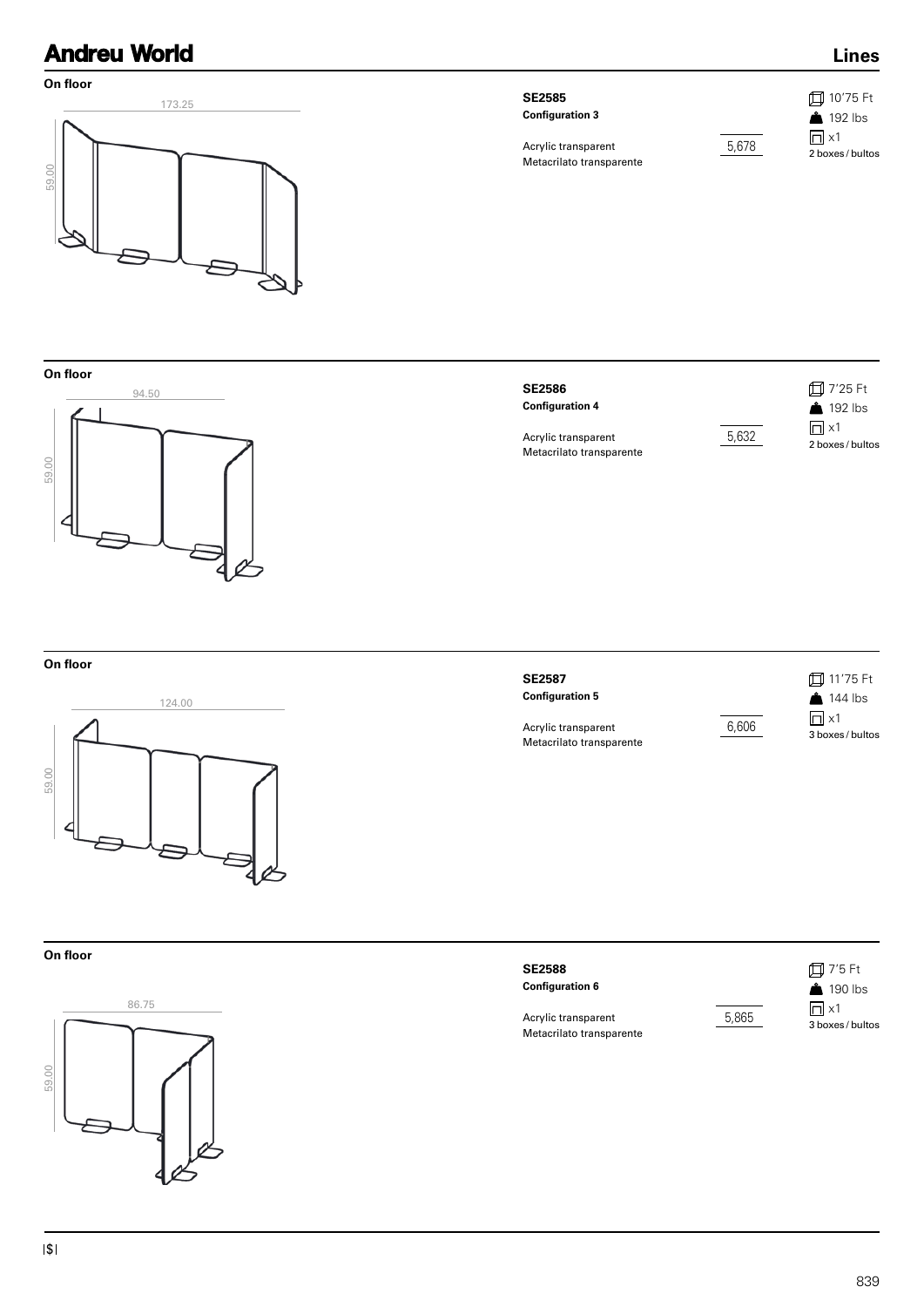### **Lines**



**On floor**



| <b>SE2588</b>          |
|------------------------|
| <b>Configuration 6</b> |
|                        |

5,865



Acrylic transparent Metacrilato transparente